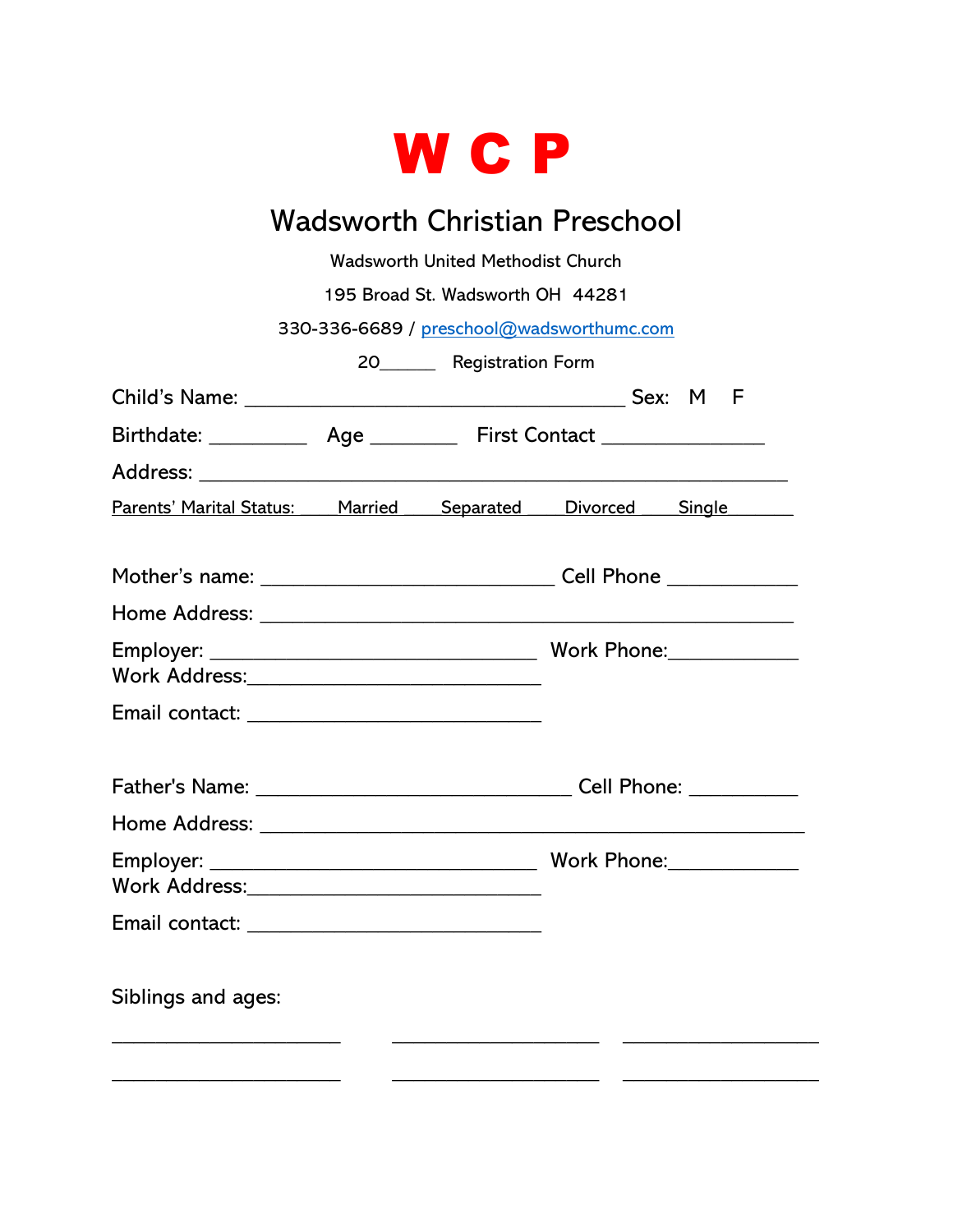

## Wadsworth Christian Preschool

Wadsworth United Methodist Church

195 Broad St. Wadsworth OH 44281

330-336-6689 / [preschool@wadsworthumc.com](mailto:preschool@wadsworthumc.com)

20\_\_\_\_\_\_ Registration Form

|                                                            |  | Birthdate: ______________ Age ____________ First Contact _______________________ |  |
|------------------------------------------------------------|--|----------------------------------------------------------------------------------|--|
|                                                            |  |                                                                                  |  |
| Parents' Marital Status: Married Separated Divorced Single |  |                                                                                  |  |
|                                                            |  |                                                                                  |  |
|                                                            |  |                                                                                  |  |
|                                                            |  |                                                                                  |  |
|                                                            |  |                                                                                  |  |
|                                                            |  |                                                                                  |  |
|                                                            |  |                                                                                  |  |
|                                                            |  |                                                                                  |  |
|                                                            |  |                                                                                  |  |
| Siblings and ages:                                         |  |                                                                                  |  |
|                                                            |  |                                                                                  |  |